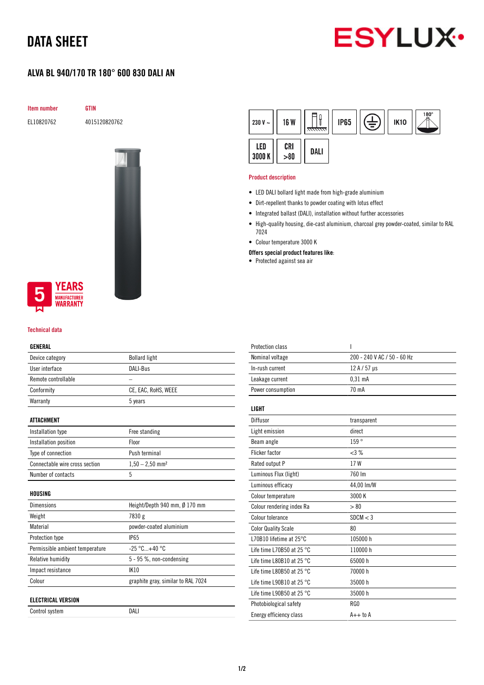# DATA SHEET



## ALVA BL 940/170 TR 180° 600 830 DALI AN

Item number GTIN

EL10820762 4015120820762





#### Technical data

#### GENERAL

| Device category                 | <b>Bollard light</b>          |
|---------------------------------|-------------------------------|
| User interface                  | DALI-Bus                      |
| Remote controllable             |                               |
| Conformity                      | CE, EAC, RoHS, WEEE           |
| Warranty                        | 5 years                       |
| ATTACHMENT                      |                               |
| Installation type               | Free standing                 |
| Installation position           | Floor                         |
| Type of connection              | Push terminal                 |
| Connectable wire cross section  | $1,50 - 2,50$ mm <sup>2</sup> |
| Number of contacts              | 5                             |
| HOUSING                         |                               |
| Dimensions                      | Height/Depth 940 mm, Ø 170 mm |
| Weight                          | 7830 g                        |
| Material                        | powder-coated aluminium       |
| Protection type                 | <b>IP65</b>                   |
| Permissible ambient temperature | $-25 °C+40 °C$                |
| Relative humidity               | $5 - 95$ %, non-condensing    |
|                                 | IK10                          |
| Impact resistance               |                               |

### ELECTRICAL VERSION

| Control system | DALI |
|----------------|------|
|                |      |



#### Product description

- LED DALI bollard light made from high-grade aluminium
- Dirt-repellent thanks to powder coating with lotus effect
- Integrated ballast (DALI), installation without further accessories
- High-quality housing, die-cast aluminium, charcoal grey powder-coated, similar to RAL 7024
- Colour temperature 3000 K
- Offers special product features like:
- Protected against sea air

| <b>Protection class</b>             | ı                           |
|-------------------------------------|-----------------------------|
| Nominal voltage                     | 200 - 240 V AC / 50 - 60 Hz |
| In-rush current                     | $12 A / 57 \mu s$           |
| Leakage current                     | $0,31$ mA                   |
| Power consumption                   | 70 mA                       |
| <b>LIGHT</b>                        |                             |
| Diffusor                            | transparent                 |
| Light emission                      | direct                      |
| Beam angle                          | 159°                        |
| Flicker factor                      | <3%                         |
| Rated output P                      | 17W                         |
| Luminous Flux (light)               | 760 Im                      |
| Luminous efficacy                   | 44,00 lm/W                  |
| Colour temperature                  | 3000 K                      |
| Colour rendering index Ra           | > 80                        |
| Colour tolerance                    | SDCM < 3                    |
| <b>Color Quality Scale</b>          | 80                          |
| L70B10 lifetime at 25°C             | 105000 h                    |
| Life time L70B50 at 25 °C           | 110000h                     |
| Life time L80B10 at 25 $^{\circ}$ C | 65000h                      |
| Life time L80B50 at 25 $^{\circ}$ C | 70000 h                     |
| Life time L90B10 at 25 $^{\circ}$ C | 35000 h                     |
| Life time L90B50 at 25 $^{\circ}$ C | 35000 h                     |
| Photobiological safety              | RG0                         |
| Energy efficiency class             | $A++$ to $A$                |